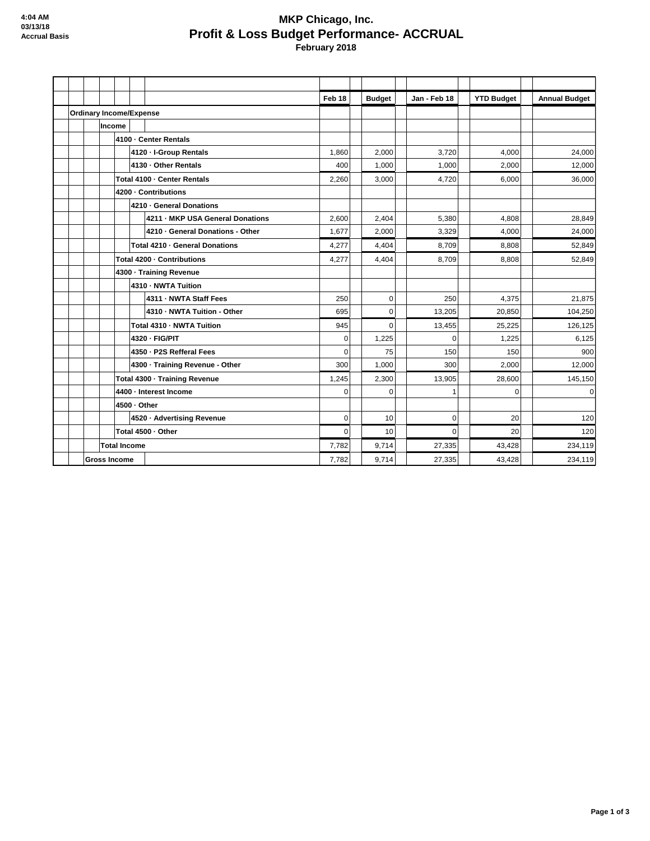## **MKP Chicago, Inc. Profit & Loss Budget Performance- ACCRUAL February 2018**

|                                |  |                             |                    |                                  | Feb 18      | <b>Budget</b> | Jan - Feb 18 | <b>YTD Budget</b> | <b>Annual Budget</b> |
|--------------------------------|--|-----------------------------|--------------------|----------------------------------|-------------|---------------|--------------|-------------------|----------------------|
| <b>Ordinary Income/Expense</b> |  |                             |                    |                                  |             |               |              |                   |                      |
|                                |  | Income                      |                    |                                  |             |               |              |                   |                      |
|                                |  | 4100 - Center Rentals       |                    |                                  |             |               |              |                   |                      |
|                                |  |                             |                    | 4120 - I-Group Rentals           | 1,860       | 2,000         | 3,720        | 4.000             | 24,000               |
|                                |  |                             |                    | 4130 - Other Rentals             | 400         | 1,000         | 1,000        | 2,000             | 12,000               |
|                                |  | Total 4100 - Center Rentals |                    |                                  | 2,260       | 3,000         | 4,720        | 6,000             | 36,000               |
|                                |  |                             |                    | 4200 - Contributions             |             |               |              |                   |                      |
|                                |  |                             |                    | 4210 - General Donations         |             |               |              |                   |                      |
|                                |  |                             |                    | 4211 - MKP USA General Donations | 2,600       | 2,404         | 5,380        | 4,808             | 28,849               |
|                                |  |                             |                    | 4210 - General Donations - Other | 1,677       | 2,000         | 3,329        | 4,000             | 24,000               |
|                                |  |                             |                    | Total 4210 - General Donations   | 4,277       | 4,404         | 8,709        | 8,808             | 52,849               |
|                                |  | Total 4200 - Contributions  |                    |                                  | 4,277       | 4,404         | 8,709        | 8,808             | 52,849               |
|                                |  | 4300 - Training Revenue     |                    |                                  |             |               |              |                   |                      |
|                                |  |                             |                    | 4310 - NWTA Tuition              |             |               |              |                   |                      |
|                                |  |                             |                    | 4311 - NWTA Staff Fees           | 250         | $\mathbf 0$   | 250          | 4.375             | 21,875               |
|                                |  |                             |                    | 4310 - NWTA Tuition - Other      | 695         | $\mathbf 0$   | 13,205       | 20,850            | 104,250              |
|                                |  |                             |                    | Total 4310 - NWTA Tuition        | 945         | $\mathbf 0$   | 13,455       | 25,225            | 126,125              |
|                                |  |                             |                    | 4320 - FIG/PIT                   | $\mathbf 0$ | 1,225         | $\Omega$     | 1,225             | 6,125                |
|                                |  |                             |                    | 4350 - P2S Refferal Fees         | $\Omega$    | 75            | 150          | 150               | 900                  |
|                                |  |                             |                    | 4300 · Training Revenue - Other  | 300         | 1,000         | 300          | 2,000             | 12,000               |
|                                |  |                             |                    | Total 4300 - Training Revenue    | 1,245       | 2,300         | 13,905       | 28,600            | 145,150              |
|                                |  | 4400 - Interest Income      |                    |                                  | $\Omega$    | $\Omega$      | $\mathbf{1}$ | $\Omega$          | $\Omega$             |
|                                |  | 4500 - Other                |                    |                                  |             |               |              |                   |                      |
|                                |  |                             |                    | 4520 · Advertising Revenue       | $\mathbf 0$ | 10            | $\mathbf 0$  | 20                | 120                  |
|                                |  |                             | Total 4500 · Other | $\mathbf 0$                      | 10          | $\mathbf 0$   | 20           | 120               |                      |
|                                |  | <b>Total Income</b>         |                    |                                  | 7,782       | 9,714         | 27,335       | 43,428            | 234,119              |
| <b>Gross Income</b>            |  |                             |                    |                                  | 7,782       | 9,714         | 27,335       | 43,428            | 234,119              |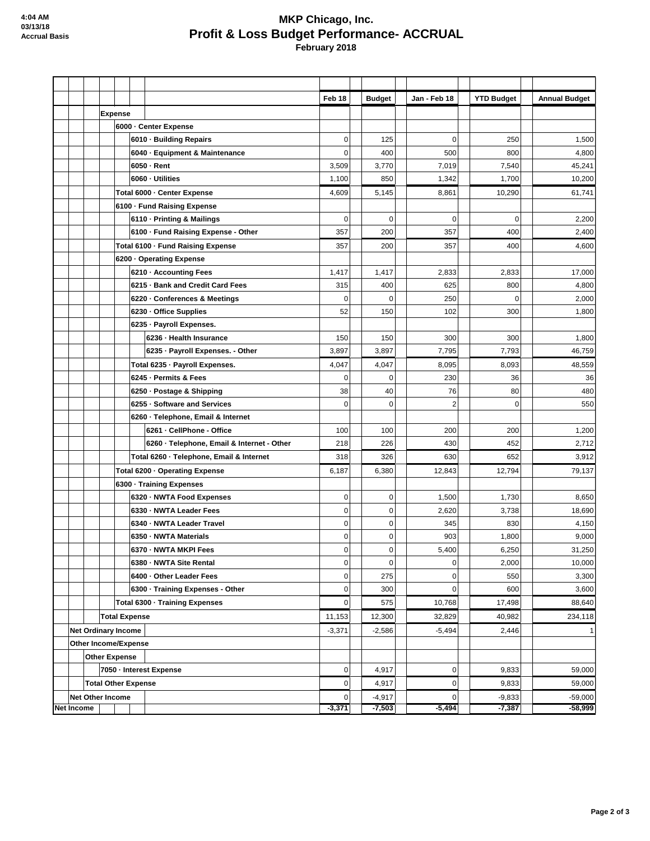## **MKP Chicago, Inc. Profit & Loss Budget Performance- ACCRUAL February 2018**

|                            |                            |                                |                                |        |                                            | Feb 18         |          | <b>Budget</b> | Jan - Feb 18   | <b>YTD Budget</b> |        | <b>Annual Budget</b> |
|----------------------------|----------------------------|--------------------------------|--------------------------------|--------|--------------------------------------------|----------------|----------|---------------|----------------|-------------------|--------|----------------------|
|                            |                            |                                | <b>Expense</b>                 |        |                                            |                |          |               |                |                   |        |                      |
|                            |                            | 6000 Center Expense            |                                |        |                                            |                |          |               |                |                   |        |                      |
|                            |                            |                                |                                |        | 6010 · Building Repairs                    | $\overline{0}$ |          | 125           | 0              | 250               |        | 1,500                |
|                            |                            |                                |                                |        | 6040 · Equipment & Maintenance             | 0              |          | 400           | 500            | 800               |        | 4,800                |
|                            |                            |                                |                                |        | 6050 - Rent                                | 3,509          |          | 3,770         | 7,019          | 7,540             |        | 45,241               |
|                            |                            |                                |                                |        | 6060 - Utilities                           | 1,100          |          | 850           | 1,342          | 1,700             |        | 10,200               |
|                            |                            |                                |                                |        | Total 6000 - Center Expense                | 4,609          |          | 5,145         | 8,861          | 10,290            |        | 61,741               |
|                            |                            |                                |                                |        | 6100 - Fund Raising Expense                |                |          |               |                |                   |        |                      |
|                            |                            |                                |                                |        | 6110 - Printing & Mailings                 | $\overline{0}$ |          | $\mathbf 0$   | $\mathbf 0$    | $\overline{0}$    |        | 2,200                |
|                            |                            |                                |                                |        | 6100 - Fund Raising Expense - Other        | 357            |          | 200           | 357            | 400               |        | 2,400                |
|                            |                            |                                |                                |        | Total 6100 - Fund Raising Expense          | 357            |          | 200           | 357            | 400               |        | 4,600                |
|                            |                            |                                |                                |        | 6200 Operating Expense                     |                |          |               |                |                   |        |                      |
|                            |                            |                                |                                |        | 6210 - Accounting Fees                     | 1,417          |          | 1,417         | 2,833          | 2,833             |        | 17,000               |
|                            |                            |                                |                                |        | 6215 · Bank and Credit Card Fees           | 315            |          | 400           | 625            | 800               |        | 4,800                |
|                            |                            |                                |                                |        | 6220 - Conferences & Meetings              | 0              |          | $\mathbf 0$   | 250            | 0                 |        | 2,000                |
|                            |                            |                                |                                |        | 6230 - Office Supplies                     | 52             |          | 150           | 102            | 300               |        | 1,800                |
|                            |                            |                                |                                |        | 6235 - Payroll Expenses.                   |                |          |               |                |                   |        |                      |
|                            |                            |                                |                                |        | 6236 - Health Insurance                    | 150            |          | 150           | 300            | 300               |        | 1,800                |
|                            |                            |                                |                                |        | 6235 - Payroll Expenses. - Other           | 3,897          |          | 3,897         | 7,795          | 7,793             |        | 46,759               |
|                            |                            |                                |                                |        | Total 6235 - Payroll Expenses.             | 4,047          |          | 4,047         | 8,095          | 8,093             |        | 48,559               |
|                            |                            |                                |                                |        | 6245 - Permits & Fees                      | $\overline{0}$ |          | $\mathbf 0$   | 230            | 36                |        | 36                   |
|                            |                            |                                |                                |        | 6250 - Postage & Shipping                  | 38             |          | 40            | 76             | 80                |        | 480                  |
|                            |                            |                                |                                |        | 6255 - Software and Services               | $\mathbf 0$    |          | $\mathbf 0$   | $\overline{c}$ | 0                 |        | 550                  |
|                            |                            |                                |                                |        | 6260 · Telephone, Email & Internet         |                |          |               |                |                   |        |                      |
|                            |                            |                                |                                |        | 6261 - CellPhone - Office                  | 100            |          | 100           | 200            | 200               |        | 1,200                |
|                            |                            |                                |                                |        | 6260 - Telephone, Email & Internet - Other | 218            |          | 226           | 430            | 452               |        | 2,712                |
|                            |                            |                                |                                |        | Total 6260 - Telephone, Email & Internet   | 318            |          | 326           | 630            | 652               |        | 3,912                |
|                            |                            | Total 6200 - Operating Expense |                                | 6,187  |                                            | 6,380          | 12,843   | 12,794        |                | 79,137            |        |                      |
|                            | 6300 - Training Expenses   |                                |                                |        |                                            |                |          |               |                |                   |        |                      |
|                            |                            |                                |                                |        | 6320 - NWTA Food Expenses                  | $\overline{0}$ |          | 0             | 1,500          | 1,730             |        | 8,650                |
|                            |                            |                                |                                |        | 6330 - NWTA Leader Fees                    | $\overline{0}$ |          | $\mathbf 0$   | 2,620          | 3,738             |        | 18,690               |
|                            |                            |                                |                                |        | 6340 - NWTA Leader Travel                  | $\overline{0}$ |          | $\mathbf 0$   | 345            | 830               |        | 4,150                |
|                            |                            |                                |                                |        | 6350 - NWTA Materials                      | $\overline{0}$ |          | $\mathbf 0$   | 903            | 1,800             |        | 9,000                |
|                            |                            |                                |                                |        | 6370 · NWTA MKPI Fees                      | 0              |          | $\pmb{0}$     | 5,400          | 6,250             |        | 31,250               |
|                            |                            |                                |                                |        | 6380 - NWTA Site Rental                    | $\overline{0}$ |          | $\mathbf 0$   | 0              | 2,000             |        | 10,000               |
|                            |                            |                                |                                |        | 6400 - Other Leader Fees                   | $\overline{0}$ |          | 275           | 0              | 550               |        | 3,300                |
|                            |                            |                                |                                |        | 6300 - Training Expenses - Other           | $\overline{0}$ |          | 300           | $\mathbf 0$    | 600               |        | 3,600                |
|                            |                            |                                | Total 6300 - Training Expenses |        | $\overline{0}$                             |                | 575      | 10,768        | 17,498         |                   | 88,640 |                      |
|                            |                            | Total Expense                  |                                | 11,153 |                                            | 12,300         | 32,829   | 40,982        |                | 234,118           |        |                      |
|                            | <b>Net Ordinary Income</b> |                                |                                |        | $-3,371$                                   |                | $-2,586$ | $-5,494$      | 2,446          |                   | 1      |                      |
| Other Income/Expense       |                            |                                |                                |        |                                            |                |          |               |                |                   |        |                      |
| <b>Other Expense</b>       |                            |                                |                                |        |                                            |                |          |               |                |                   |        |                      |
|                            |                            |                                |                                |        | 7050 - Interest Expense                    | $\overline{0}$ |          | 4,917         | 0              | 9,833             |        | 59,000               |
| <b>Total Other Expense</b> |                            |                                |                                |        |                                            | $\overline{0}$ |          | 4,917         | 0              | 9,833             |        | 59,000               |
|                            | <b>Net Other Income</b>    |                                |                                |        |                                            | $\overline{0}$ |          | $-4,917$      | $\mathbf 0$    | $-9,833$          |        | $-59,000$            |
| Net Income                 |                            |                                |                                |        |                                            | $-3,371$       |          | $-7,503$      | $-5,494$       | $-7,387$          |        | $-58,999$            |